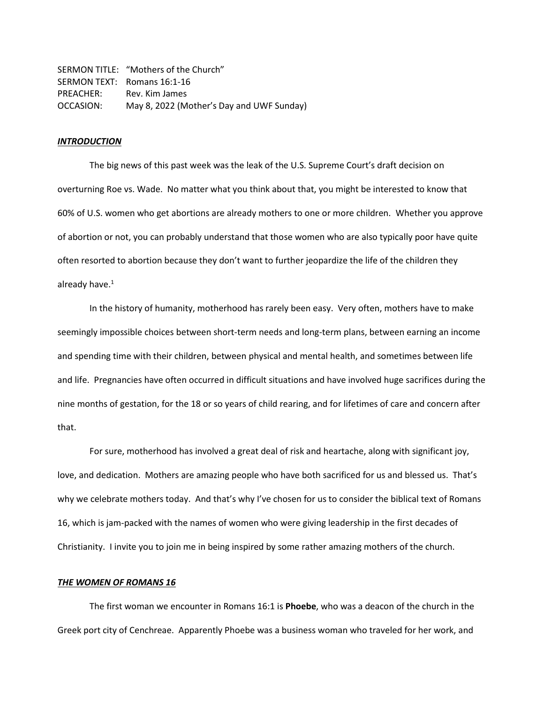SERMON TITLE: "Mothers of the Church" SERMON TEXT: Romans 16:1-16 PREACHER: Rev. Kim James OCCASION: May 8, 2022 (Mother's Day and UWF Sunday)

## *INTRODUCTION*

The big news of this past week was the leak of the U.S. Supreme Court's draft decision on overturning Roe vs. Wade. No matter what you think about that, you might be interested to know that 60% of U.S. women who get abortions are already mothers to one or more children. Whether you approve of abortion or not, you can probably understand that those women who are also typically poor have quite often resorted to abortion because they don't want to further jeopardize the life of the children they already have. $1$ 

In the history of humanity, motherhood has rarely been easy. Very often, mothers have to make seemingly impossible choices between short-term needs and long-term plans, between earning an income and spending time with their children, between physical and mental health, and sometimes between life and life. Pregnancies have often occurred in difficult situations and have involved huge sacrifices during the nine months of gestation, for the 18 or so years of child rearing, and for lifetimes of care and concern after that.

For sure, motherhood has involved a great deal of risk and heartache, along with significant joy, love, and dedication. Mothers are amazing people who have both sacrificed for us and blessed us. That's why we celebrate mothers today. And that's why I've chosen for us to consider the biblical text of Romans 16, which is jam-packed with the names of women who were giving leadership in the first decades of Christianity. I invite you to join me in being inspired by some rather amazing mothers of the church.

## *THE WOMEN OF ROMANS 16*

The first woman we encounter in Romans 16:1 is **Phoebe**, who was a deacon of the church in the Greek port city of Cenchreae. Apparently Phoebe was a business woman who traveled for her work, and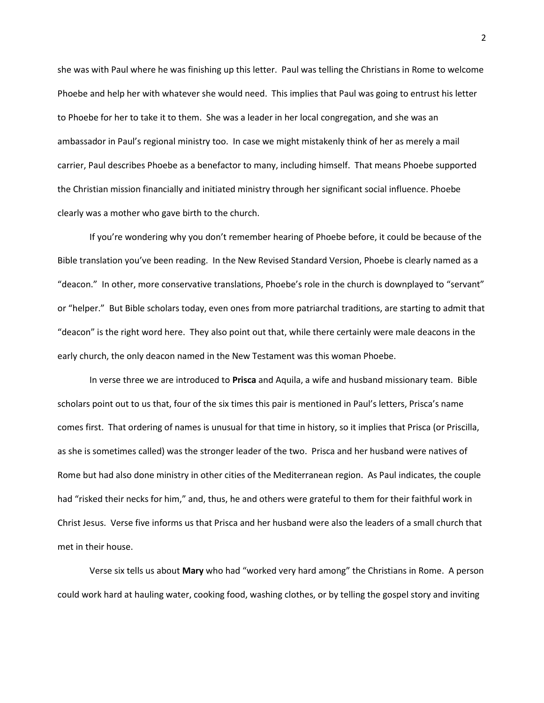she was with Paul where he was finishing up this letter. Paul was telling the Christians in Rome to welcome Phoebe and help her with whatever she would need. This implies that Paul was going to entrust his letter to Phoebe for her to take it to them. She was a leader in her local congregation, and she was an ambassador in Paul's regional ministry too. In case we might mistakenly think of her as merely a mail carrier, Paul describes Phoebe as a benefactor to many, including himself. That means Phoebe supported the Christian mission financially and initiated ministry through her significant social influence. Phoebe clearly was a mother who gave birth to the church.

If you're wondering why you don't remember hearing of Phoebe before, it could be because of the Bible translation you've been reading. In the New Revised Standard Version, Phoebe is clearly named as a "deacon." In other, more conservative translations, Phoebe's role in the church is downplayed to "servant" or "helper." But Bible scholars today, even ones from more patriarchal traditions, are starting to admit that "deacon" is the right word here. They also point out that, while there certainly were male deacons in the early church, the only deacon named in the New Testament was this woman Phoebe.

In verse three we are introduced to **Prisca** and Aquila, a wife and husband missionary team. Bible scholars point out to us that, four of the six times this pair is mentioned in Paul's letters, Prisca's name comes first. That ordering of names is unusual for that time in history, so it implies that Prisca (or Priscilla, as she is sometimes called) was the stronger leader of the two. Prisca and her husband were natives of Rome but had also done ministry in other cities of the Mediterranean region. As Paul indicates, the couple had "risked their necks for him," and, thus, he and others were grateful to them for their faithful work in Christ Jesus. Verse five informs us that Prisca and her husband were also the leaders of a small church that met in their house.

Verse six tells us about **Mary** who had "worked very hard among" the Christians in Rome. A person could work hard at hauling water, cooking food, washing clothes, or by telling the gospel story and inviting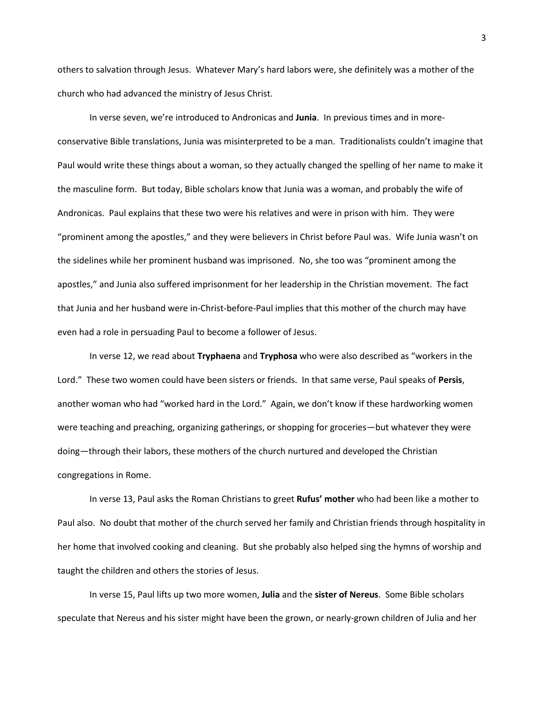others to salvation through Jesus. Whatever Mary's hard labors were, she definitely was a mother of the church who had advanced the ministry of Jesus Christ.

In verse seven, we're introduced to Andronicas and **Junia**. In previous times and in moreconservative Bible translations, Junia was misinterpreted to be a man. Traditionalists couldn't imagine that Paul would write these things about a woman, so they actually changed the spelling of her name to make it the masculine form. But today, Bible scholars know that Junia was a woman, and probably the wife of Andronicas. Paul explains that these two were his relatives and were in prison with him. They were "prominent among the apostles," and they were believers in Christ before Paul was. Wife Junia wasn't on the sidelines while her prominent husband was imprisoned. No, she too was "prominent among the apostles," and Junia also suffered imprisonment for her leadership in the Christian movement. The fact that Junia and her husband were in-Christ-before-Paul implies that this mother of the church may have even had a role in persuading Paul to become a follower of Jesus.

In verse 12, we read about **Tryphaena** and **Tryphosa** who were also described as "workers in the Lord." These two women could have been sisters or friends. In that same verse, Paul speaks of **Persis**, another woman who had "worked hard in the Lord." Again, we don't know if these hardworking women were teaching and preaching, organizing gatherings, or shopping for groceries—but whatever they were doing—through their labors, these mothers of the church nurtured and developed the Christian congregations in Rome.

In verse 13, Paul asks the Roman Christians to greet **Rufus' mother** who had been like a mother to Paul also. No doubt that mother of the church served her family and Christian friends through hospitality in her home that involved cooking and cleaning. But she probably also helped sing the hymns of worship and taught the children and others the stories of Jesus.

In verse 15, Paul lifts up two more women, **Julia** and the **sister of Nereus**. Some Bible scholars speculate that Nereus and his sister might have been the grown, or nearly-grown children of Julia and her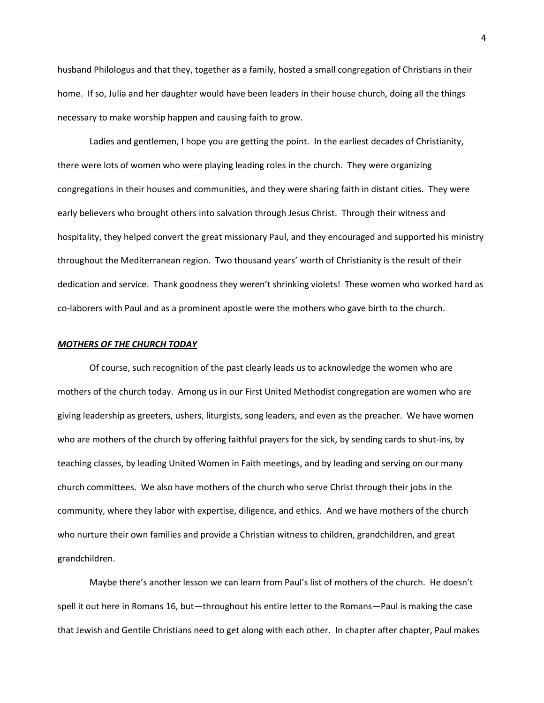husband Philologus and that they, together as a family, hosted a small congregation of Christians in their home. If so, Julia and her daughter would have been leaders in their house church, doing all the things necessary to make worship happen and causing faith to grow.

Ladies and gentlemen, I hope you are getting the point. In the earliest decades of Christianity, there were lots of women who were playing leading roles in the church. They were organizing congregations in their houses and communities, and they were sharing faith in distant cities. They were early believers who brought others into salvation through Jesus Christ. Through their witness and hospitality, they helped convert the great missionary Paul, and they encouraged and supported his ministry throughout the Mediterranean region. Two thousand years' worth of Christianity is the result of their dedication and service. Thank goodness they weren't shrinking violets! These women who worked hard as co-laborers with Paul and as a prominent apostle were the mothers who gave birth to the church.

## *MOTHERS OF THE CHURCH TODAY*

Of course, such recognition of the past clearly leads us to acknowledge the women who are mothers of the church today. Among us in our First United Methodist congregation are women who are giving leadership as greeters, ushers, liturgists, song leaders, and even as the preacher. We have women who are mothers of the church by offering faithful prayers for the sick, by sending cards to shut-ins, by teaching classes, by leading United Women in Faith meetings, and by leading and serving on our many church committees. We also have mothers of the church who serve Christ through their jobs in the community, where they labor with expertise, diligence, and ethics. And we have mothers of the church who nurture their own families and provide a Christian witness to children, grandchildren, and great grandchildren.

Maybe there's another lesson we can learn from Paul's list of mothers of the church. He doesn't spell it out here in Romans 16, but—throughout his entire letter to the Romans—Paul is making the case that Jewish and Gentile Christians need to get along with each other. In chapter after chapter, Paul makes